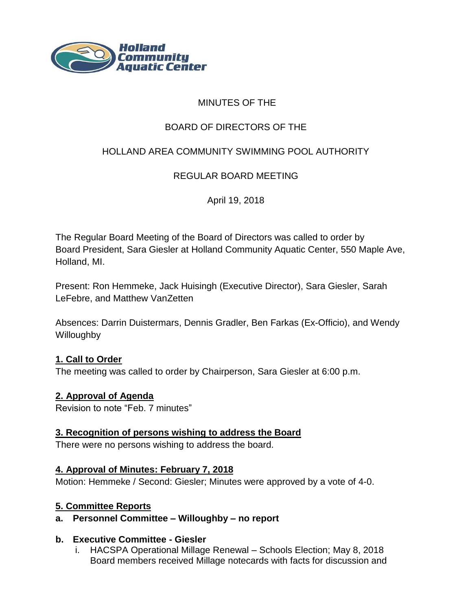

## MINUTES OF THE

## BOARD OF DIRECTORS OF THE

## HOLLAND AREA COMMUNITY SWIMMING POOL AUTHORITY

## REGULAR BOARD MEETING

April 19, 2018

The Regular Board Meeting of the Board of Directors was called to order by Board President, Sara Giesler at Holland Community Aquatic Center, 550 Maple Ave, Holland, MI.

Present: Ron Hemmeke, Jack Huisingh (Executive Director), Sara Giesler, Sarah LeFebre, and Matthew VanZetten

Absences: Darrin Duistermars, Dennis Gradler, Ben Farkas (Ex-Officio), and Wendy **Willoughby** 

#### **1. Call to Order**

The meeting was called to order by Chairperson, Sara Giesler at 6:00 p.m.

#### **2. Approval of Agenda**

Revision to note "Feb. 7 minutes"

#### **3. Recognition of persons wishing to address the Board**

There were no persons wishing to address the board.

#### **4. Approval of Minutes: February 7, 2018**

Motion: Hemmeke / Second: Giesler; Minutes were approved by a vote of 4-0.

#### **5. Committee Reports**

#### **a. Personnel Committee – Willoughby – no report**

## **b. Executive Committee - Giesler**

i. HACSPA Operational Millage Renewal – Schools Election; May 8, 2018 Board members received Millage notecards with facts for discussion and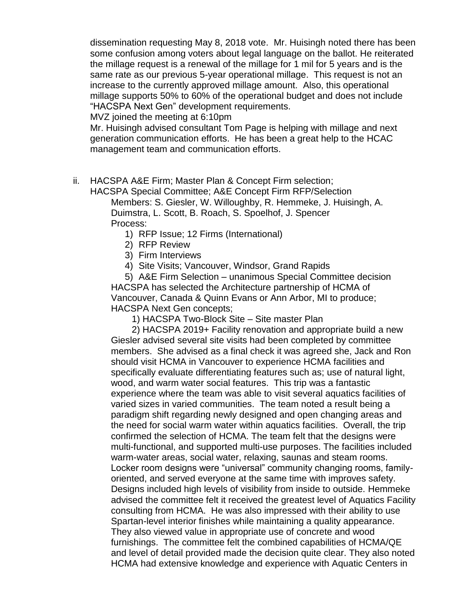dissemination requesting May 8, 2018 vote. Mr. Huisingh noted there has been some confusion among voters about legal language on the ballot. He reiterated the millage request is a renewal of the millage for 1 mil for 5 years and is the same rate as our previous 5-year operational millage. This request is not an increase to the currently approved millage amount. Also, this operational millage supports 50% to 60% of the operational budget and does not include "HACSPA Next Gen" development requirements.

MVZ joined the meeting at 6:10pm

Mr. Huisingh advised consultant Tom Page is helping with millage and next generation communication efforts. He has been a great help to the HCAC management team and communication efforts.

ii. HACSPA A&E Firm; Master Plan & Concept Firm selection;

HACSPA Special Committee; A&E Concept Firm RFP/Selection Members: S. Giesler, W. Willoughby, R. Hemmeke, J. Huisingh, A. Duimstra, L. Scott, B. Roach, S. Spoelhof, J. Spencer Process:

- 1) RFP Issue; 12 Firms (International)
- 2) RFP Review
- 3) Firm Interviews
- 4) Site Visits; Vancouver, Windsor, Grand Rapids

5) A&E Firm Selection – unanimous Special Committee decision HACSPA has selected the Architecture partnership of HCMA of Vancouver, Canada & Quinn Evans or Ann Arbor, MI to produce; HACSPA Next Gen concepts;

1) HACSPA Two-Block Site – Site master Plan

2) HACSPA 2019+ Facility renovation and appropriate build a new Giesler advised several site visits had been completed by committee members. She advised as a final check it was agreed she, Jack and Ron should visit HCMA in Vancouver to experience HCMA facilities and specifically evaluate differentiating features such as; use of natural light, wood, and warm water social features. This trip was a fantastic experience where the team was able to visit several aquatics facilities of varied sizes in varied communities. The team noted a result being a paradigm shift regarding newly designed and open changing areas and the need for social warm water within aquatics facilities. Overall, the trip confirmed the selection of HCMA. The team felt that the designs were multi-functional, and supported multi-use purposes. The facilities included warm-water areas, social water, relaxing, saunas and steam rooms. Locker room designs were "universal" community changing rooms, familyoriented, and served everyone at the same time with improves safety. Designs included high levels of visibility from inside to outside. Hemmeke advised the committee felt it received the greatest level of Aquatics Facility consulting from HCMA. He was also impressed with their ability to use Spartan-level interior finishes while maintaining a quality appearance. They also viewed value in appropriate use of concrete and wood furnishings. The committee felt the combined capabilities of HCMA/QE and level of detail provided made the decision quite clear. They also noted HCMA had extensive knowledge and experience with Aquatic Centers in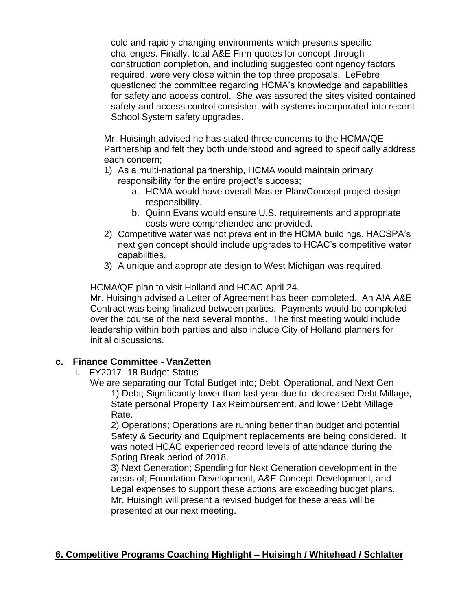cold and rapidly changing environments which presents specific challenges. Finally, total A&E Firm quotes for concept through construction completion, and including suggested contingency factors required, were very close within the top three proposals. LeFebre questioned the committee regarding HCMA's knowledge and capabilities for safety and access control. She was assured the sites visited contained safety and access control consistent with systems incorporated into recent School System safety upgrades.

Mr. Huisingh advised he has stated three concerns to the HCMA/QE Partnership and felt they both understood and agreed to specifically address each concern;

- 1) As a multi-national partnership, HCMA would maintain primary responsibility for the entire project's success;
	- a. HCMA would have overall Master Plan/Concept project design responsibility.
	- b. Quinn Evans would ensure U.S. requirements and appropriate costs were comprehended and provided.
- 2) Competitive water was not prevalent in the HCMA buildings. HACSPA's next gen concept should include upgrades to HCAC's competitive water capabilities.
- 3) A unique and appropriate design to West Michigan was required.

HCMA/QE plan to visit Holland and HCAC April 24.

Mr. Huisingh advised a Letter of Agreement has been completed. An A!A A&E Contract was being finalized between parties. Payments would be completed over the course of the next several months. The first meeting would include leadership within both parties and also include City of Holland planners for initial discussions.

## **c. Finance Committee - VanZetten**

i. FY2017 -18 Budget Status

We are separating our Total Budget into; Debt, Operational, and Next Gen 1) Debt; Significantly lower than last year due to: decreased Debt Millage, State personal Property Tax Reimbursement, and lower Debt Millage Rate.

2) Operations; Operations are running better than budget and potential Safety & Security and Equipment replacements are being considered. It was noted HCAC experienced record levels of attendance during the Spring Break period of 2018.

3) Next Generation; Spending for Next Generation development in the areas of; Foundation Development, A&E Concept Development, and Legal expenses to support these actions are exceeding budget plans. Mr. Huisingh will present a revised budget for these areas will be presented at our next meeting.

## **6. Competitive Programs Coaching Highlight – Huisingh / Whitehead / Schlatter**